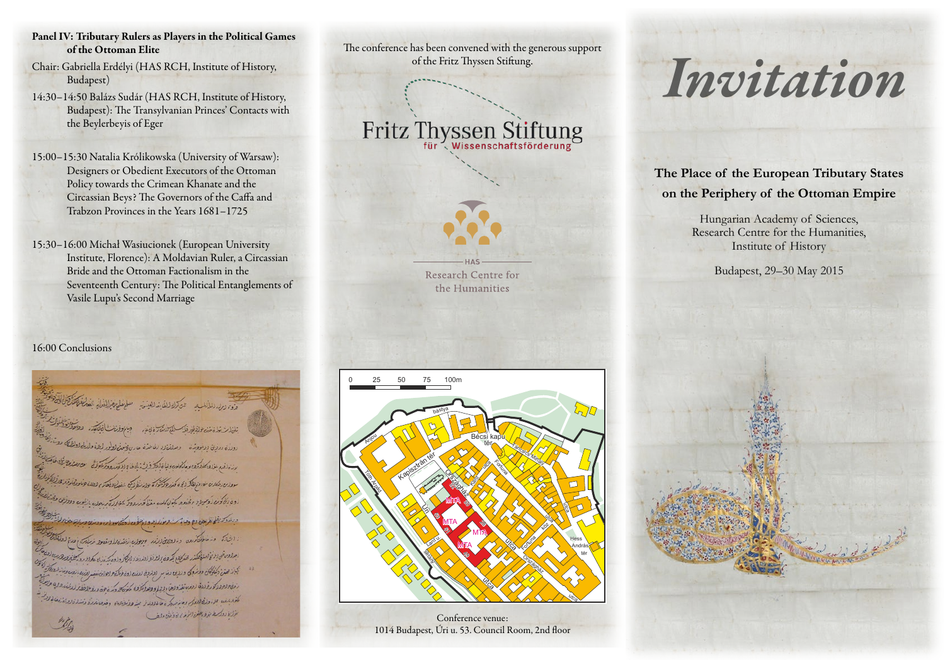- Panel IV: Tributary Rulers as Players in the Political Games of the Ottoman Elite
- Chair: Gabriella Erdélyi (HAS RCH, Institute of History, Budapest)
- 14:30–14:50 Balázs Sudár (HAS RCH, Institute of History, Budapest): The Transylvanian Princes' Contacts with the Beylerbeyis of Eger
- 15:00–15:30 Natalia Królikowska (University of Warsaw): Designers or Obedient Executors of the Ottoman Policy towards the Crimean Khanate and the Circassian Beys? The Governors of the Caffa and Trabzon Provinces in the Years 1681–1725
- 15:30–16:00 Michał Wasiucionek (European University Institute, Florence): A Moldavian Ruler, a Circassian Bride and the Ottoman Factionalism in the Seventeenth Century: The Political Entanglements of Vasile Lupu's Second Marriage

### 16:00 Conclusions



The conference has been convened with the generous support of the Fritz Thyssen Stiftung.

Fritz Thyssen Stiftung

Research Centre for the Humanities



Conference venue: 1014 Budapest, Úri u. 53. Council Room, 2nd floor

# *Invitation*

**The Place of the European Tributary States on the Periphery of the Ottoman Empire**

> Hungarian Academy of Sciences, Research Centre for the Humanities, Institute of History

> > Budapest, 29–30 May 2015